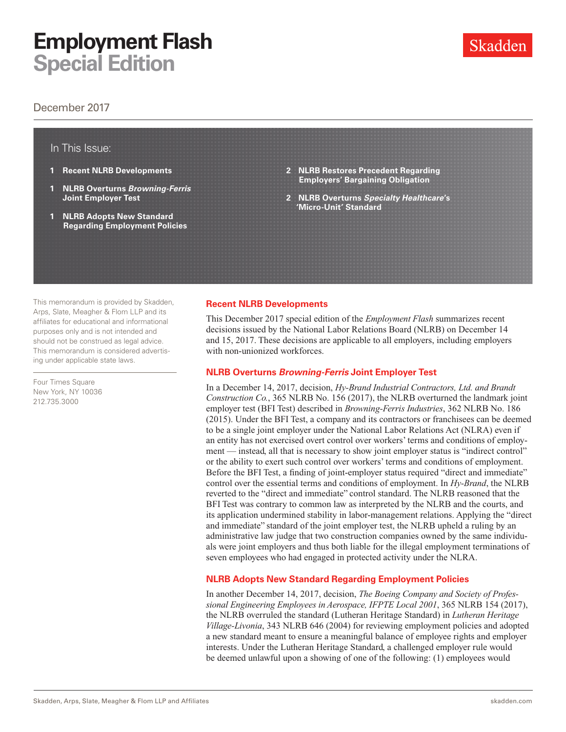## **Employment Flash Special Edition**

### December 2017

### In This Issue:

- **1 Recent NLRB Developments**
- **1 NLRB Overturns** *Browning-Ferris* **Joint Employer Test**
- **1 NLRB Adopts New Standard Regarding Employment Policies**
- **2 [NLRB Restores Precedent Regarding](#page-1-0)  [Employers' Bargaining Obligation](#page-1-0)**
- **2 NLRB Overturns** *[Specialty Healthcare](#page-1-0)***'s ['Micro-Unit' Standard](#page-1-0)**

This memorandum is provided by Skadden, Arps, Slate, Meagher & Flom LLP and its affiliates for educational and informational purposes only and is not intended and should not be construed as legal advice. This memorandum is considered advertising under applicable state laws.

Four Times Square New York, NY 10036 212.735.3000

### **Recent NLRB Developments**

This December 2017 special edition of the *Employment Flash* summarizes recent decisions issued by the National Labor Relations Board (NLRB) on December 14 and 15, 2017. These decisions are applicable to all employers, including employers with non-unionized workforces.

### **NLRB Overturns** *Browning-Ferris* **Joint Employer Test**

In a December 14, 2017, decision, *Hy-Brand Industrial Contractors, Ltd. and Brandt Construction Co.*, 365 NLRB No. 156 (2017), the NLRB overturned the landmark joint employer test (BFI Test) described in *Browning-Ferris Industries*, 362 NLRB No. 186 (2015). Under the BFI Test, a company and its contractors or franchisees can be deemed to be a single joint employer under the National Labor Relations Act (NLRA) even if an entity has not exercised overt control over workers' terms and conditions of employment — instead, all that is necessary to show joint employer status is "indirect control" or the ability to exert such control over workers' terms and conditions of employment. Before the BFI Test, a finding of joint-employer status required "direct and immediate" control over the essential terms and conditions of employment. In *Hy-Brand*, the NLRB reverted to the "direct and immediate" control standard. The NLRB reasoned that the BFI Test was contrary to common law as interpreted by the NLRB and the courts, and its application undermined stability in labor-management relations. Applying the "direct and immediate" standard of the joint employer test, the NLRB upheld a ruling by an administrative law judge that two construction companies owned by the same individuals were joint employers and thus both liable for the illegal employment terminations of seven employees who had engaged in protected activity under the NLRA.

### **NLRB Adopts New Standard Regarding Employment Policies**

In another December 14, 2017, decision, *The Boeing Company and Society of Professional Engineering Employees in Aerospace, IFPTE Local 2001*, 365 NLRB 154 (2017), the NLRB overruled the standard (Lutheran Heritage Standard) in *Lutheran Heritage Village-Livonia*, 343 NLRB 646 (2004) for reviewing employment policies and adopted a new standard meant to ensure a meaningful balance of employee rights and employer interests. Under the Lutheran Heritage Standard, a challenged employer rule would be deemed unlawful upon a showing of one of the following: (1) employees would

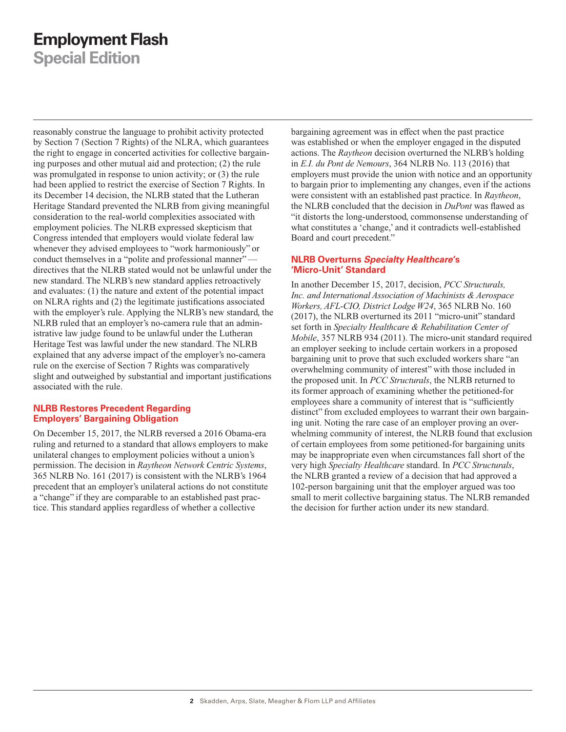# <span id="page-1-0"></span>**Employment Flash**

**Special Edition**

reasonably construe the language to prohibit activity protected by Section 7 (Section 7 Rights) of the NLRA, which guarantees the right to engage in concerted activities for collective bargaining purposes and other mutual aid and protection; (2) the rule was promulgated in response to union activity; or (3) the rule had been applied to restrict the exercise of Section 7 Rights. In its December 14 decision, the NLRB stated that the Lutheran Heritage Standard prevented the NLRB from giving meaningful consideration to the real-world complexities associated with employment policies. The NLRB expressed skepticism that Congress intended that employers would violate federal law whenever they advised employees to "work harmoniously" or conduct themselves in a "polite and professional manner" directives that the NLRB stated would not be unlawful under the new standard. The NLRB's new standard applies retroactively and evaluates: (1) the nature and extent of the potential impact on NLRA rights and (2) the legitimate justifications associated with the employer's rule. Applying the NLRB's new standard, the NLRB ruled that an employer's no-camera rule that an administrative law judge found to be unlawful under the Lutheran Heritage Test was lawful under the new standard. The NLRB explained that any adverse impact of the employer's no-camera rule on the exercise of Section 7 Rights was comparatively slight and outweighed by substantial and important justifications associated with the rule.

### **NLRB Restores Precedent Regarding Employers' Bargaining Obligation**

On December 15, 2017, the NLRB reversed a 2016 Obama-era ruling and returned to a standard that allows employers to make unilateral changes to employment policies without a union's permission. The decision in *Raytheon Network Centric Systems*, 365 NLRB No. 161 (2017) is consistent with the NLRB's 1964 precedent that an employer's unilateral actions do not constitute a "change" if they are comparable to an established past practice. This standard applies regardless of whether a collective

bargaining agreement was in effect when the past practice was established or when the employer engaged in the disputed actions. The *Raytheon* decision overturned the NLRB's holding in *E.I. du Pont de Nemours*, 364 NLRB No. 113 (2016) that employers must provide the union with notice and an opportunity to bargain prior to implementing any changes, even if the actions were consistent with an established past practice. In *Raytheon*, the NLRB concluded that the decision in *DuPont* was flawed as "it distorts the long-understood, commonsense understanding of what constitutes a 'change,' and it contradicts well-established Board and court precedent."

### **NLRB Overturns** *Specialty Healthcare***'s 'Micro-Unit' Standard**

In another December 15, 2017, decision, *PCC Structurals, Inc. and International Association of Machinists & Aerospace Workers, AFL-CIO, District Lodge W24*, 365 NLRB No. 160 (2017), the NLRB overturned its 2011 "micro-unit" standard set forth in *Specialty Healthcare & Rehabilitation Center of Mobile*, 357 NLRB 934 (2011). The micro-unit standard required an employer seeking to include certain workers in a proposed bargaining unit to prove that such excluded workers share "an overwhelming community of interest" with those included in the proposed unit. In *PCC Structurals*, the NLRB returned to its former approach of examining whether the petitioned-for employees share a community of interest that is "sufficiently distinct" from excluded employees to warrant their own bargaining unit. Noting the rare case of an employer proving an overwhelming community of interest, the NLRB found that exclusion of certain employees from some petitioned-for bargaining units may be inappropriate even when circumstances fall short of the very high *Specialty Healthcare* standard. In *PCC Structurals*, the NLRB granted a review of a decision that had approved a 102-person bargaining unit that the employer argued was too small to merit collective bargaining status. The NLRB remanded the decision for further action under its new standard.